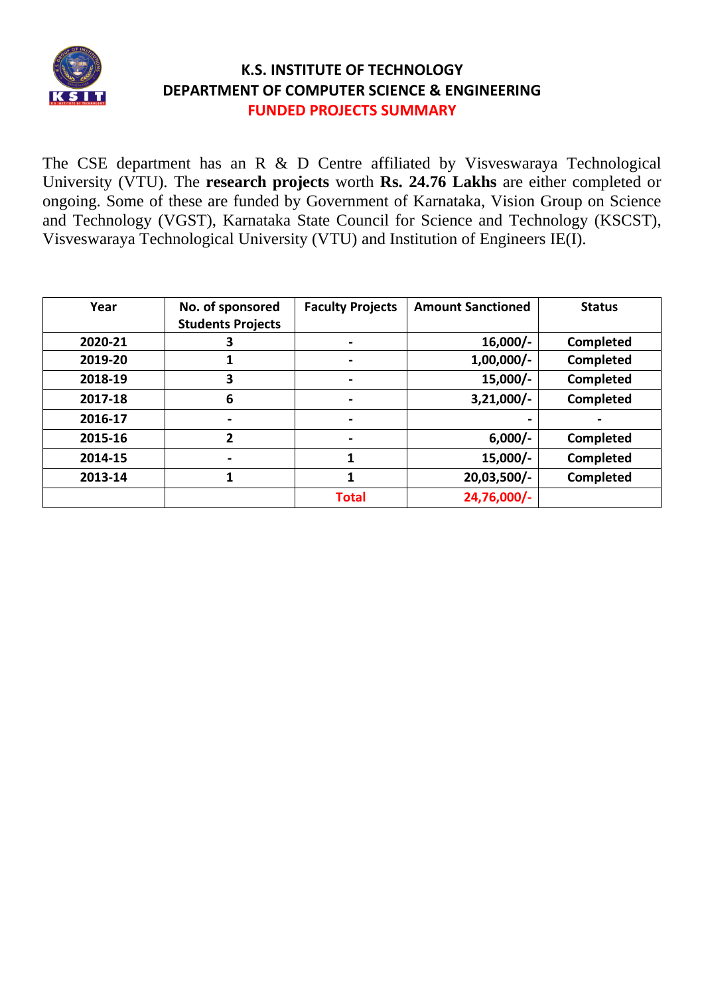

The CSE department has an R & D Centre affiliated by Visveswaraya Technological University (VTU). The **research projects** worth **Rs. 24.76 Lakhs** are either completed or ongoing. Some of these are funded by Government of Karnataka, Vision Group on Science and Technology (VGST), Karnataka State Council for Science and Technology (KSCST), Visveswaraya Technological University (VTU) and Institution of Engineers IE(I).

| Year    | No. of sponsored<br><b>Students Projects</b> | <b>Faculty Projects</b> | <b>Amount Sanctioned</b> | <b>Status</b>    |
|---------|----------------------------------------------|-------------------------|--------------------------|------------------|
| 2020-21 | 3                                            |                         | $16,000/-$               | <b>Completed</b> |
| 2019-20 | 1                                            |                         | $1,00,000/$ -            | Completed        |
| 2018-19 | 3                                            |                         | $15,000/-$               | Completed        |
| 2017-18 | 6                                            |                         | $3,21,000/-$             | Completed        |
| 2016-17 | $\blacksquare$                               |                         |                          |                  |
| 2015-16 | 2                                            |                         | $6,000/-$                | <b>Completed</b> |
| 2014-15 |                                              |                         | $15,000/-$               | Completed        |
| 2013-14 | 1                                            |                         | 20,03,500/-              | Completed        |
|         |                                              | <b>Total</b>            | 24,76,000/-              |                  |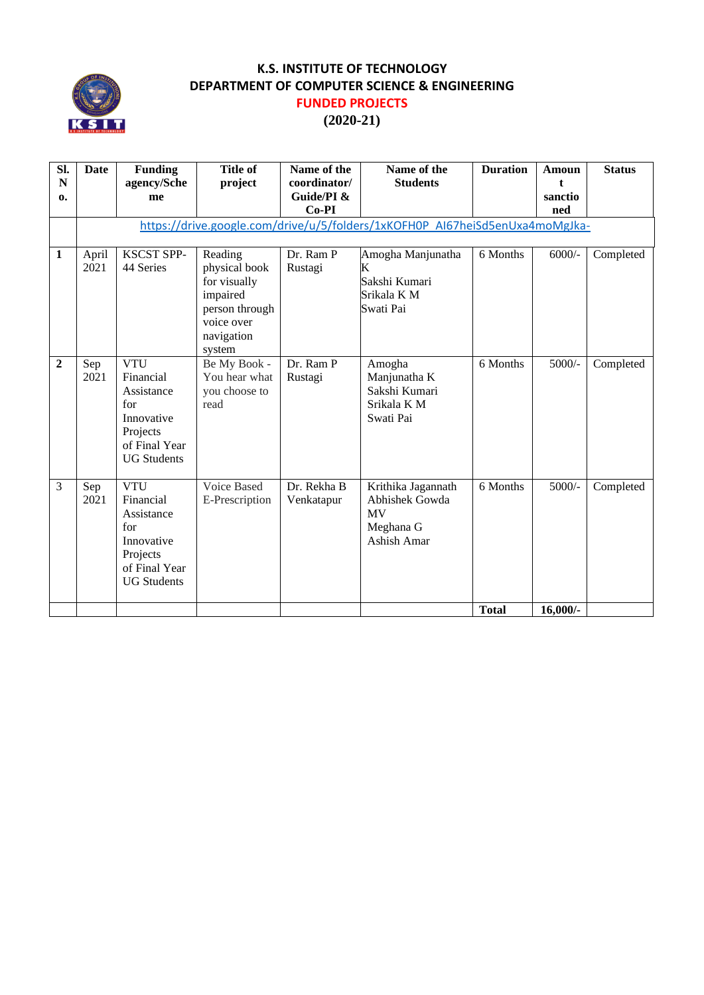

# **(2020-21)**

| SI.              | Date          | <b>Funding</b>                                                                                                | <b>Title of</b>                                        | Name of the               | Name of the                                                                  | <b>Duration</b> | <b>Amoun</b>   | <b>Status</b> |
|------------------|---------------|---------------------------------------------------------------------------------------------------------------|--------------------------------------------------------|---------------------------|------------------------------------------------------------------------------|-----------------|----------------|---------------|
| N                |               | agency/Sche                                                                                                   | project                                                | coordinator/              | <b>Students</b>                                                              |                 | t              |               |
| 0.               |               | me                                                                                                            |                                                        | Guide/PI &<br>$Co-PI$     |                                                                              |                 | sanctio<br>ned |               |
|                  |               |                                                                                                               |                                                        |                           | https://drive.google.com/drive/u/5/folders/1xKOFH0P AI67heiSd5enUxa4moMgJka- |                 |                |               |
|                  |               |                                                                                                               |                                                        |                           |                                                                              |                 |                |               |
| $\mathbf{1}$     | April<br>2021 | <b>KSCST SPP-</b><br>44 Series                                                                                | Reading<br>physical book<br>for visually<br>impaired   | Dr. Ram P<br>Rustagi      | Amogha Manjunatha<br>K<br>Sakshi Kumari<br>Srikala K M                       | 6 Months        | $6000/-$       | Completed     |
|                  |               |                                                                                                               | person through<br>voice over<br>navigation<br>system   |                           | Swati Pai                                                                    |                 |                |               |
| $\boldsymbol{2}$ | Sep<br>2021   | <b>VTU</b><br>Financial<br>Assistance<br>for<br>Innovative<br>Projects<br>of Final Year<br><b>UG</b> Students | Be My Book -<br>You hear what<br>you choose to<br>read | Dr. Ram P<br>Rustagi      | Amogha<br>Manjunatha K<br>Sakshi Kumari<br>Srikala K M<br>Swati Pai          | 6 Months        | $5000/-$       | Completed     |
| 3                | Sep<br>2021   | <b>VTU</b><br>Financial<br>Assistance<br>for<br>Innovative<br>Projects<br>of Final Year<br><b>UG Students</b> | Voice Based<br>E-Prescription                          | Dr. Rekha B<br>Venkatapur | Krithika Jagannath<br>Abhishek Gowda<br>MV<br>Meghana G<br>Ashish Amar       | 6 Months        | $5000/-$       | Completed     |
|                  |               |                                                                                                               |                                                        |                           |                                                                              | <b>Total</b>    | $16,000/$ -    |               |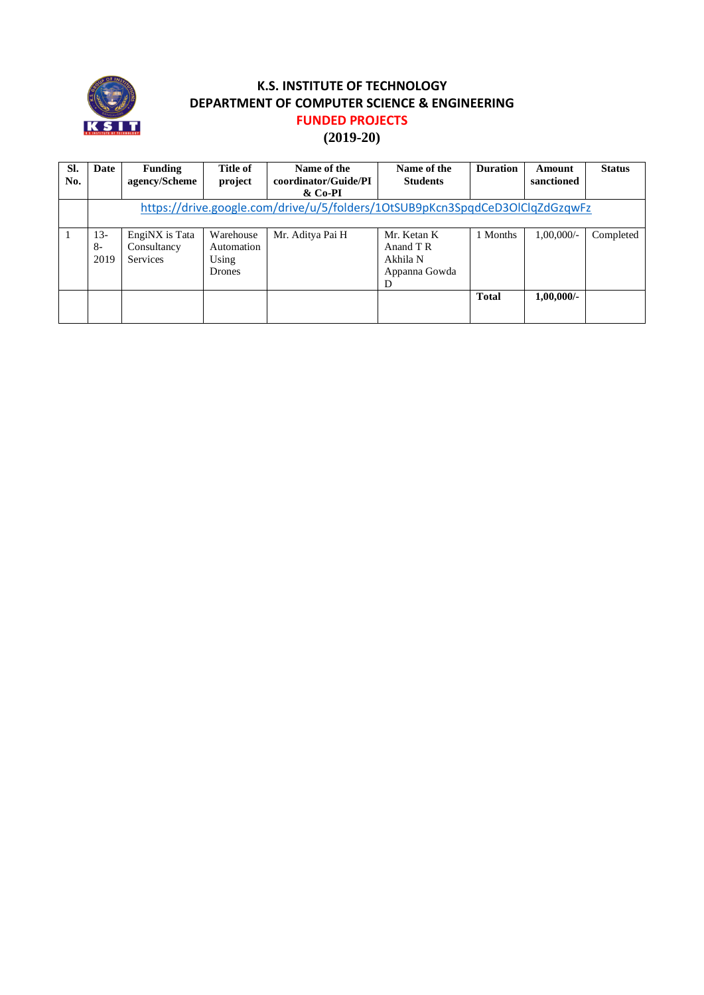

| SI.<br>No. | Date                                                                         | <b>Funding</b><br>agency/Scheme           | Title of<br>project                               | Name of the<br>coordinator/Guide/PI<br>& Co-PI | Name of the<br><b>Students</b>                             | <b>Duration</b> | Amount<br>sanctioned | <b>Status</b> |
|------------|------------------------------------------------------------------------------|-------------------------------------------|---------------------------------------------------|------------------------------------------------|------------------------------------------------------------|-----------------|----------------------|---------------|
|            | https://drive.google.com/drive/u/5/folders/10tSUB9pKcn3SpqdCeD3OlClqZdGzqwFz |                                           |                                                   |                                                |                                                            |                 |                      |               |
|            | 13-<br>$8-$<br>2019                                                          | EngiNX is Tata<br>Consultancy<br>Services | Warehouse<br>Automation<br>Using<br><b>Drones</b> | Mr. Aditya Pai H                               | Mr. Ketan K<br>Anand T R<br>Akhila N<br>Appanna Gowda<br>D | 1 Months        | $1.00.000/-$         | Completed     |
|            |                                                                              |                                           |                                                   |                                                |                                                            | <b>Total</b>    | $1,00,000/-$         |               |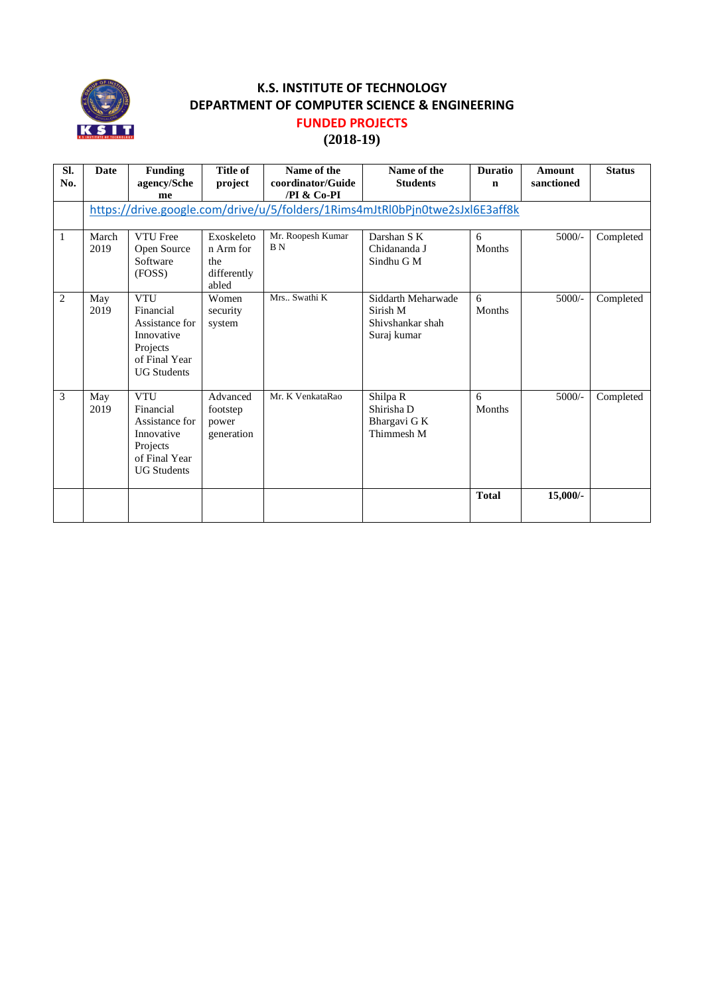

### **(2018-19)**

| SI.<br>No. | <b>Date</b>   | <b>Funding</b><br>agency/Sche                                                                              | <b>Title of</b><br>project                             | Name of the<br>coordinator/Guide    | Name of the<br><b>Students</b>                                               | <b>Duratio</b><br>$\mathbf n$ | Amount<br>sanctioned | <b>Status</b> |
|------------|---------------|------------------------------------------------------------------------------------------------------------|--------------------------------------------------------|-------------------------------------|------------------------------------------------------------------------------|-------------------------------|----------------------|---------------|
|            |               | me                                                                                                         |                                                        | /PI & Co-PI                         |                                                                              |                               |                      |               |
|            |               |                                                                                                            |                                                        |                                     | https://drive.google.com/drive/u/5/folders/1Rims4mJtRl0bPjn0twe2sJxl6E3aff8k |                               |                      |               |
| 1          | March<br>2019 | <b>VTU</b> Free<br>Open Source<br>Software<br>(FOSS)                                                       | Exoskeleto<br>n Arm for<br>the<br>differently<br>abled | Mr. Roopesh Kumar<br>B <sub>N</sub> | Darshan S K<br>Chidananda J<br>Sindhu G M                                    | 6<br>Months                   | $5000/-$             | Completed     |
| 2          | May<br>2019   | <b>VTU</b><br>Financial<br>Assistance for<br>Innovative<br>Projects<br>of Final Year<br><b>UG Students</b> | Women<br>security<br>system                            | Mrs., Swathi K                      | Siddarth Meharwade<br>Sirish M<br>Shivshankar shah<br>Suraj kumar            | 6<br>Months                   | $5000/-$             | Completed     |
| 3          | May<br>2019   | <b>VTU</b><br>Financial<br>Assistance for<br>Innovative<br>Projects<br>of Final Year<br><b>UG Students</b> | Advanced<br>footstep<br>power<br>generation            | Mr. K VenkataRao                    | Shilpa R<br>Shirisha D<br>Bhargavi G K<br>Thimmesh M                         | 6<br>Months                   | $5000/-$             | Completed     |
|            |               |                                                                                                            |                                                        |                                     |                                                                              | <b>Total</b>                  | $15,000/$ -          |               |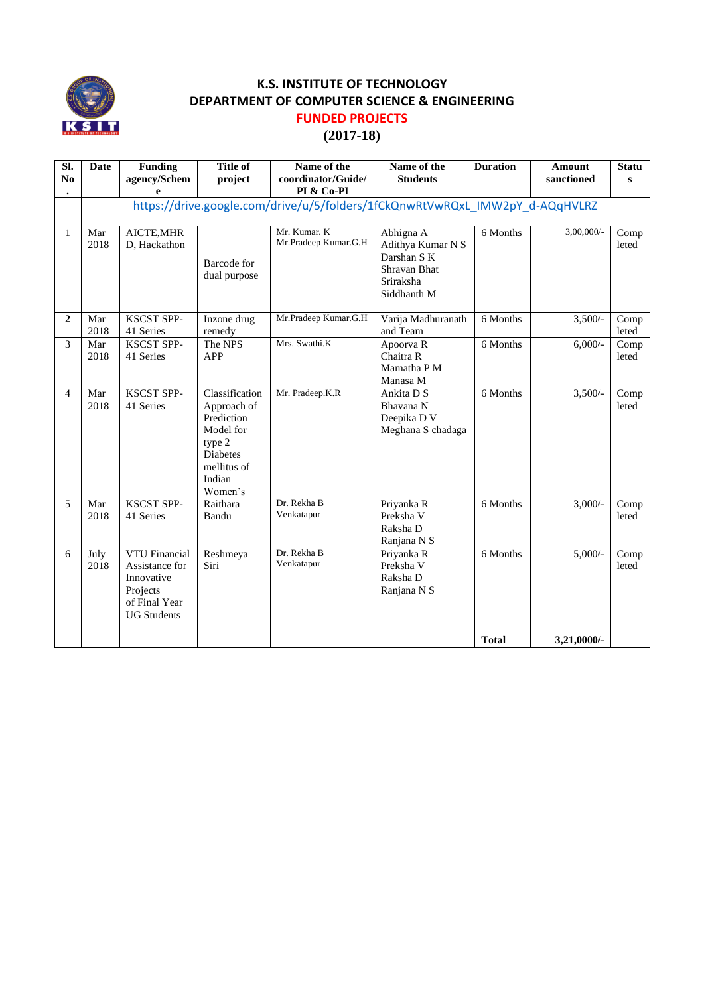

#### **(2017-18)**

| Sl.<br>N <sub>0</sub> | Date                                                                         | <b>Funding</b><br>agency/Schem<br>e                                                              | <b>Title of</b><br>project                                                                                                | Name of the<br>coordinator/Guide/<br>PI & Co-PI | Name of the<br><b>Students</b>                                                            | <b>Duration</b> | <b>Amount</b><br>sanctioned | <b>Statu</b><br>$\mathbf{s}$ |
|-----------------------|------------------------------------------------------------------------------|--------------------------------------------------------------------------------------------------|---------------------------------------------------------------------------------------------------------------------------|-------------------------------------------------|-------------------------------------------------------------------------------------------|-----------------|-----------------------------|------------------------------|
|                       | https://drive.google.com/drive/u/5/folders/1fCkQnwRtVwRQxL IMW2pY d-AQqHVLRZ |                                                                                                  |                                                                                                                           |                                                 |                                                                                           |                 |                             |                              |
| 1                     | Mar<br>2018                                                                  | AICTE, MHR<br>D, Hackathon                                                                       | Barcode for<br>dual purpose                                                                                               | Mr. Kumar. K<br>Mr.Pradeep Kumar.G.H            | Abhigna A<br>Adithya Kumar N S<br>Darshan S K<br>Shravan Bhat<br>Sriraksha<br>Siddhanth M | 6 Months        | $3,00,000/$ -               | Comp<br>leted                |
| $\mathbf{2}$          | Mar<br>2018                                                                  | <b>KSCST SPP-</b><br>41 Series                                                                   | Inzone drug<br>remedy                                                                                                     | Mr.Pradeep Kumar.G.H                            | Varija Madhuranath<br>and Team                                                            | 6 Months        | $3,500/-$                   | Comp<br>leted                |
| 3                     | Mar<br>2018                                                                  | <b>KSCST SPP-</b><br>41 Series                                                                   | The NPS<br><b>APP</b>                                                                                                     | Mrs. Swathi.K                                   | Apoorva R<br>Chaitra R<br>Mamatha P M<br>Manasa M                                         | 6 Months        | $6,000/-$                   | Comp<br>leted                |
| 4                     | Mar<br>2018                                                                  | <b>KSCST SPP-</b><br>41 Series                                                                   | Classification<br>Approach of<br>Prediction<br>Model for<br>type 2<br><b>Diabetes</b><br>mellitus of<br>Indian<br>Women's | Mr. Pradeep.K.R                                 | Ankita D S<br>Bhavana N<br>Deepika D V<br>Meghana S chadaga                               | 6 Months        | $3,500/-$                   | Comp<br>leted                |
| 5                     | Mar<br>2018                                                                  | <b>KSCST SPP-</b><br>41 Series                                                                   | Raithara<br>Bandu                                                                                                         | Dr. Rekha B<br>Venkatapur                       | Priyanka R<br>Preksha V<br>Raksha D<br>Ranjana N S                                        | 6 Months        | $3,000/-$                   | Comp<br>leted                |
| 6                     | July<br>2018                                                                 | VTU Financial<br>Assistance for<br>Innovative<br>Projects<br>of Final Year<br><b>UG Students</b> | Reshmeya<br>Siri                                                                                                          | Dr. Rekha B<br>Venkatapur                       | Priyanka R<br>Preksha V<br>Raksha D<br>Ranjana N S                                        | 6 Months        | $5,000/-$                   | Comp<br>leted                |
|                       |                                                                              |                                                                                                  |                                                                                                                           |                                                 |                                                                                           | <b>Total</b>    | 3,21,0000/-                 |                              |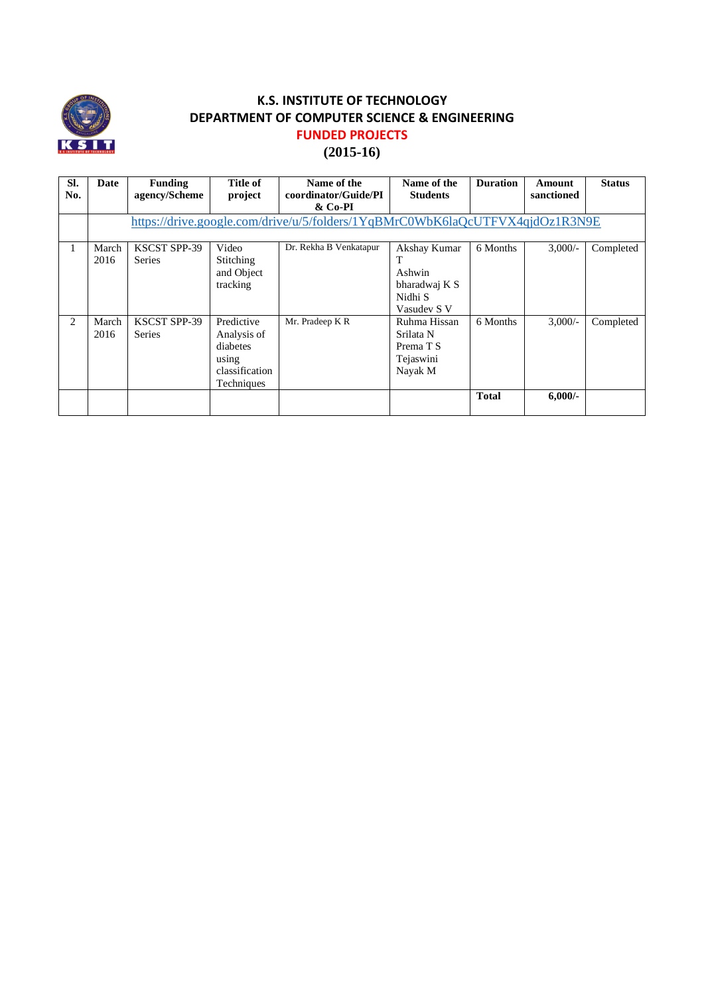

# **(2015-16)**

| SI.<br>No. | Date          | <b>Funding</b><br>agency/Scheme      | Title of<br>project                                                            | Name of the<br>coordinator/Guide/PI                                          | Name of the<br><b>Students</b>                                    | <b>Duration</b> | Amount<br>sanctioned | <b>Status</b> |
|------------|---------------|--------------------------------------|--------------------------------------------------------------------------------|------------------------------------------------------------------------------|-------------------------------------------------------------------|-----------------|----------------------|---------------|
|            |               |                                      |                                                                                | & Co-PI                                                                      |                                                                   |                 |                      |               |
|            |               |                                      |                                                                                | https://drive.google.com/drive/u/5/folders/1YqBMrC0WbK6laQcUTFVX4qjdOz1R3N9E |                                                                   |                 |                      |               |
|            | March<br>2016 | <b>KSCST SPP-39</b><br><b>Series</b> | Video<br>Stitching<br>and Object<br>tracking                                   | Dr. Rekha B Venkatapur                                                       | Akshay Kumar<br>Ashwin<br>bharadwaj K S<br>Nidhi S<br>Vasudev S V | 6 Months        | $3.000/-$            | Completed     |
| 2          | March<br>2016 | <b>KSCST SPP-39</b><br><b>Series</b> | Predictive<br>Analysis of<br>diabetes<br>using<br>classification<br>Techniques | Mr. Pradeep K R                                                              | Ruhma Hissan<br>Srilata N<br>Prema T S<br>Tejaswini<br>Nayak M    | 6 Months        | $3.000/-$            | Completed     |
|            |               |                                      |                                                                                |                                                                              |                                                                   | <b>Total</b>    | $6,000/-$            |               |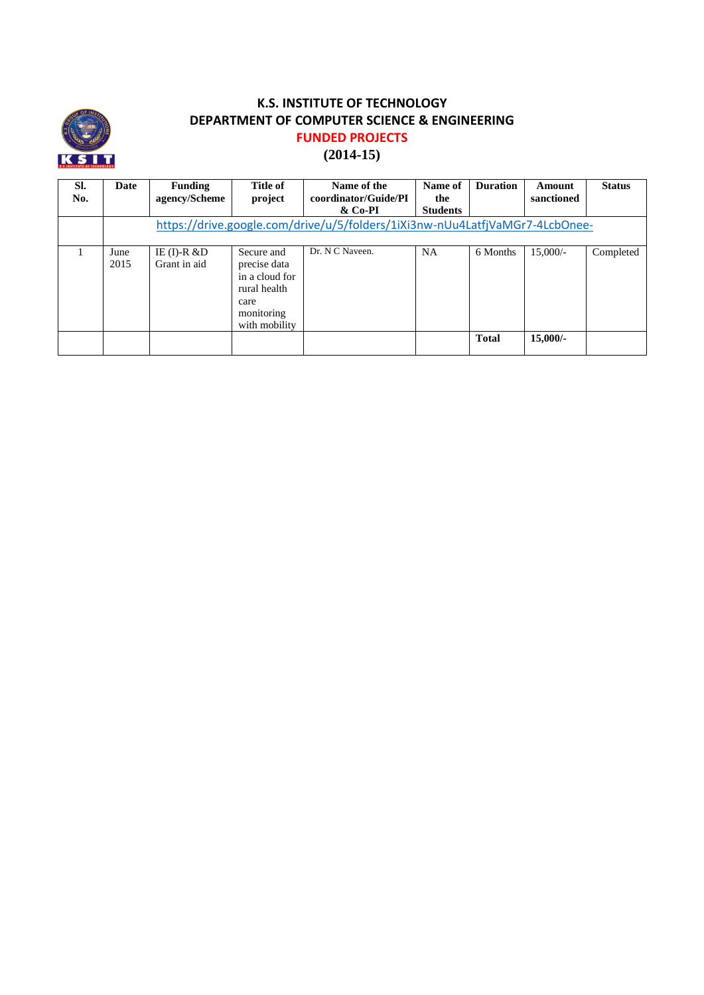

## **(2014-15)**

| SI.<br>No. | Date         | <b>Funding</b><br>agency/Scheme | Title of<br>project                                                                                 | Name of the<br>coordinator/Guide/PI<br>& Co-PI                               | Name of<br>the<br><b>Students</b> | <b>Duration</b> | Amount<br>sanctioned | <b>Status</b> |
|------------|--------------|---------------------------------|-----------------------------------------------------------------------------------------------------|------------------------------------------------------------------------------|-----------------------------------|-----------------|----------------------|---------------|
|            |              |                                 |                                                                                                     | https://drive.google.com/drive/u/5/folders/1iXi3nw-nUu4LatfjVaMGr7-4LcbOnee- |                                   |                 |                      |               |
|            | June<br>2015 | IE $(I)$ -R &D<br>Grant in aid  | Secure and<br>precise data<br>in a cloud for<br>rural health<br>care<br>monitoring<br>with mobility | Dr. N C Naveen.                                                              | <b>NA</b>                         | 6 Months        | $15,000/-$           | Completed     |
|            |              |                                 |                                                                                                     |                                                                              |                                   | <b>Total</b>    | $15,000/-$           |               |